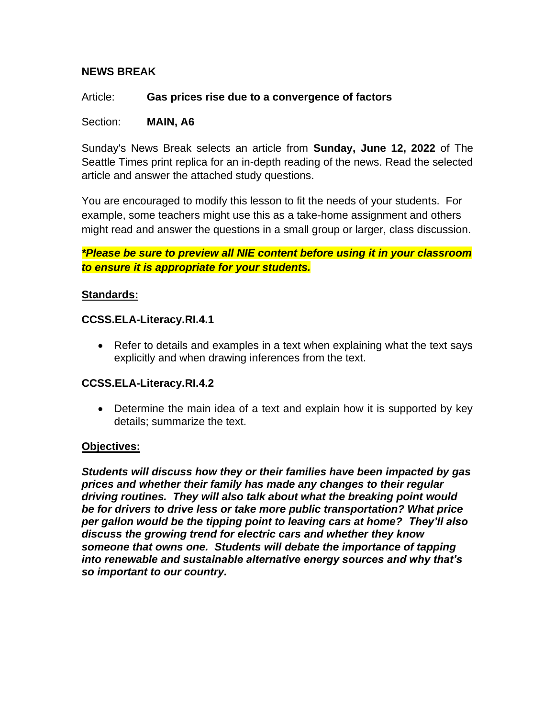# **NEWS BREAK**

Article: **Gas prices rise due to a convergence of factors**

Section: **MAIN, A6**

Sunday's News Break selects an article from **Sunday, June 12, 2022** of The Seattle Times print replica for an in-depth reading of the news. Read the selected article and answer the attached study questions.

You are encouraged to modify this lesson to fit the needs of your students. For example, some teachers might use this as a take-home assignment and others might read and answer the questions in a small group or larger, class discussion.

*\*Please be sure to preview all NIE content before using it in your classroom to ensure it is appropriate for your students.*

### **Standards:**

### **[CCSS.ELA-Literacy.RI.4.1](http://www.corestandards.org/ELA-Literacy/RI/4/1/)**

• Refer to details and examples in a text when explaining what the text says explicitly and when drawing inferences from the text.

## **[CCSS.ELA-Literacy.RI.4.2](http://www.corestandards.org/ELA-Literacy/RI/4/2/)**

• Determine the main idea of a text and explain how it is supported by key details; summarize the text.

## **Objectives:**

*Students will discuss how they or their families have been impacted by gas prices and whether their family has made any changes to their regular driving routines. They will also talk about what the breaking point would be for drivers to drive less or take more public transportation? What price per gallon would be the tipping point to leaving cars at home? They'll also discuss the growing trend for electric cars and whether they know someone that owns one. Students will debate the importance of tapping into renewable and sustainable alternative energy sources and why that's so important to our country.*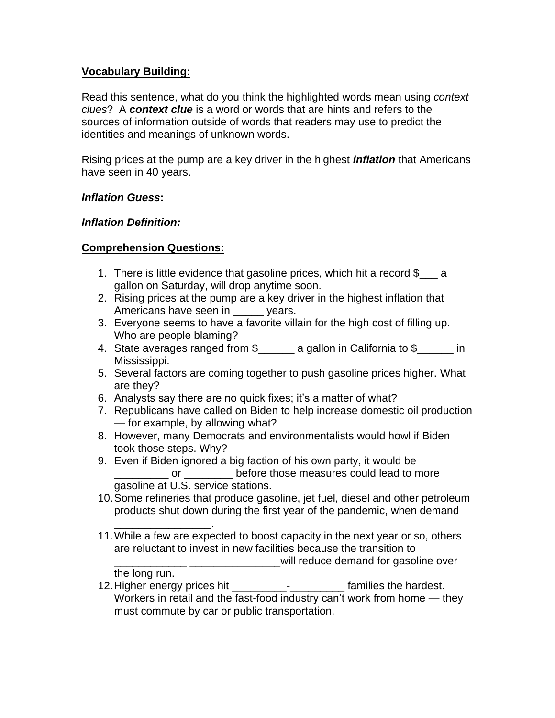## **Vocabulary Building:**

Read this sentence, what do you think the highlighted words mean using *context clues*? A *context clue* is a word or words that are hints and refers to the sources of information outside of words that readers may use to predict the identities and meanings of unknown words.

Rising prices at the pump are a key driver in the highest *inflation* that Americans have seen in 40 years.

# *Inflation Guess***:**

## *Inflation Definition:*

# **Comprehension Questions:**

- 1. There is little evidence that gasoline prices, which hit a record \$\_\_\_ a gallon on Saturday, will drop anytime soon.
- 2. Rising prices at the pump are a key driver in the highest inflation that Americans have seen in \_\_\_\_\_ years.
- 3. Everyone seems to have a favorite villain for the high cost of filling up. Who are people blaming?
- 4. State averages ranged from \$\_\_\_\_\_\_ a gallon in California to \$\_\_\_\_\_\_ in Mississippi.
- 5. Several factors are coming together to push gasoline prices higher. What are they?
- 6. Analysts say there are no quick fixes; it's a matter of what?
- 7. Republicans have called on Biden to help increase domestic oil production — for example, by allowing what?
- 8. However, many Democrats and environmentalists would howl if Biden took those steps. Why?
- 9. Even if Biden ignored a big faction of his own party, it would be or before those measures could lead to more gasoline at U.S. service stations.
- 10.Some refineries that produce gasoline, jet fuel, diesel and other petroleum products shut down during the first year of the pandemic, when demand
- \_\_\_\_\_\_\_\_\_\_\_\_\_\_\_\_. 11.While a few are expected to boost capacity in the next year or so, others are reluctant to invest in new facilities because the transition to \_\_\_\_\_\_\_\_\_\_\_\_ \_\_\_\_\_\_\_\_\_\_\_\_\_\_\_will reduce demand for gasoline over

the long run.

12. Higher energy prices hit \_\_\_\_\_\_\_\_\_\_\_\_\_\_\_\_\_\_\_\_\_\_\_\_\_\_ families the hardest. Workers in retail and the fast-food industry can't work from home — they must commute by car or public transportation.